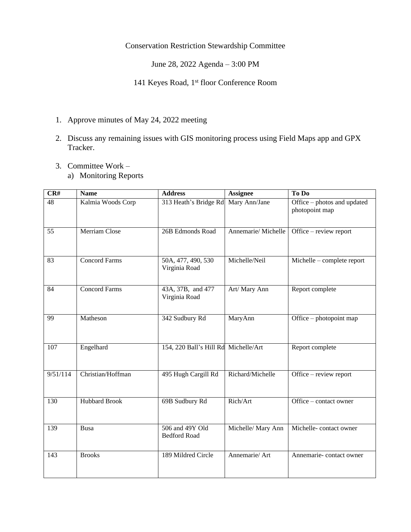## Conservation Restriction Stewardship Committee

June 28, 2022 Agenda – 3:00 PM

141 Keyes Road, 1st floor Conference Room

- 1. Approve minutes of May 24, 2022 meeting
- 2. Discuss any remaining issues with GIS monitoring process using Field Maps app and GPX Tracker.
- 3. Committee Work
	- a) Monitoring Reports

| CR#      | <b>Name</b>          | <b>Address</b>                         | <b>Assignee</b>    | To Do                                         |
|----------|----------------------|----------------------------------------|--------------------|-----------------------------------------------|
| 48       | Kalmia Woods Corp    | 313 Heath's Bridge Rd                  | Mary Ann/Jane      | Office – photos and updated<br>photopoint map |
| 55       | Merriam Close        | 26B Edmonds Road                       | Annemarie/Michelle | Office – review report                        |
| 83       | <b>Concord Farms</b> | 50A, 477, 490, 530<br>Virginia Road    | Michelle/Neil      | Michelle – complete report                    |
| 84       | <b>Concord Farms</b> | 43A, 37B, and 477<br>Virginia Road     | Art/ Mary Ann      | Report complete                               |
| 99       | Matheson             | 342 Sudbury Rd                         | MaryAnn            | Office – photopoint map                       |
| 107      | Engelhard            | 154, 220 Ball's Hill Rd Michelle/Art   |                    | Report complete                               |
| 9/51/114 | Christian/Hoffman    | 495 Hugh Cargill Rd                    | Richard/Michelle   | Office – review report                        |
| 130      | <b>Hubbard Brook</b> | 69B Sudbury Rd                         | Rich/Art           | Office – contact owner                        |
| 139      | Busa                 | 506 and 49Y Old<br><b>Bedford Road</b> | Michelle/ Mary Ann | Michelle-contact owner                        |
| 143      | <b>Brooks</b>        | 189 Mildred Circle                     | Annemarie/ Art     | Annemarie-contact owner                       |